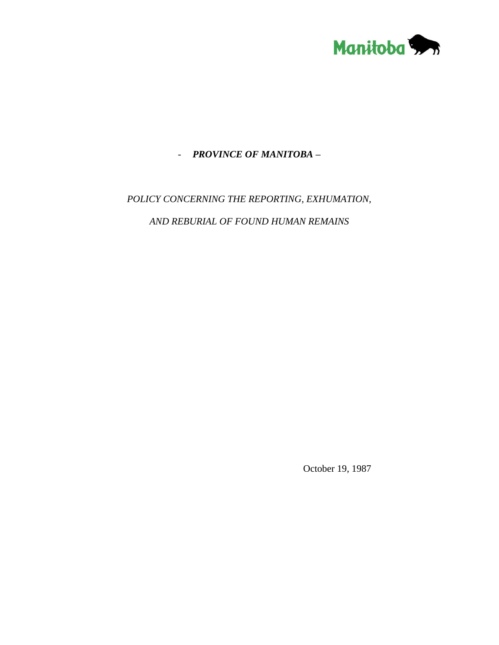

### - *PROVINCE OF MANITOBA –*

## *POLICY CONCERNING THE REPORTING, EXHUMATION,*

*AND REBURIAL OF FOUND HUMAN REMAINS* 

October 19, 1987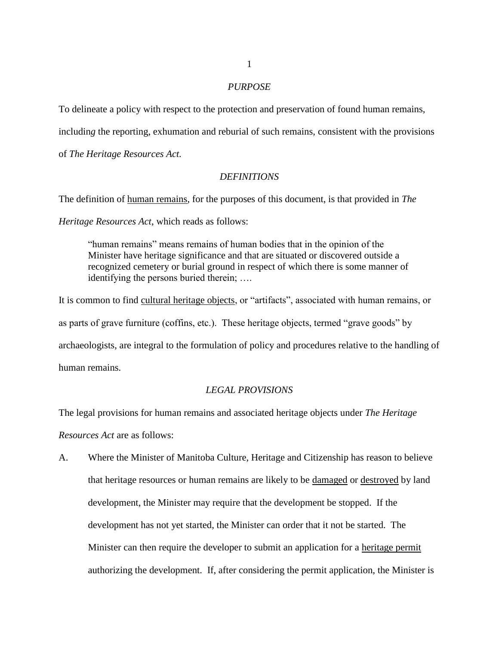#### *PURPOSE*

To delineate a policy with respect to the protection and preservation of found human remains,

includin*g* the reporting, exhumation and reburial of such remains, consistent with the provisions

of *The Heritage Resources Act.*

#### *DEFINITIONS*

The definition of human remains, for the purposes of this document, is that provided in *The* 

*Heritage Resources Act*, which reads as follows:

"human remains" means remains of human bodies that in the opinion of the Minister have heritage significance and that are situated or discovered outside a recognized cemetery or burial ground in respect of which there is some manner of identifying the persons buried therein; ….

It is common to find cultural heritage objects, or "artifacts", associated with human remains, or as parts of grave furniture (coffins, etc.). These heritage objects, termed "grave goods" by archaeologists, are integral to the formulation of policy and procedures relative to the handling of human remains.

#### *LEGAL PROVISIONS*

The legal provisions for human remains and associated heritage objects under *The Heritage Resources Act* are as follows:

A. Where the Minister of Manitoba Culture, Heritage and Citizenship has reason to believe that heritage resources or human remains are likely to be damaged or destroyed by land development, the Minister may require that the development be stopped. If the development has not yet started, the Minister can order that it not be started. The Minister can then require the developer to submit an application for a heritage permit authorizing the development. If, after considering the permit application, the Minister is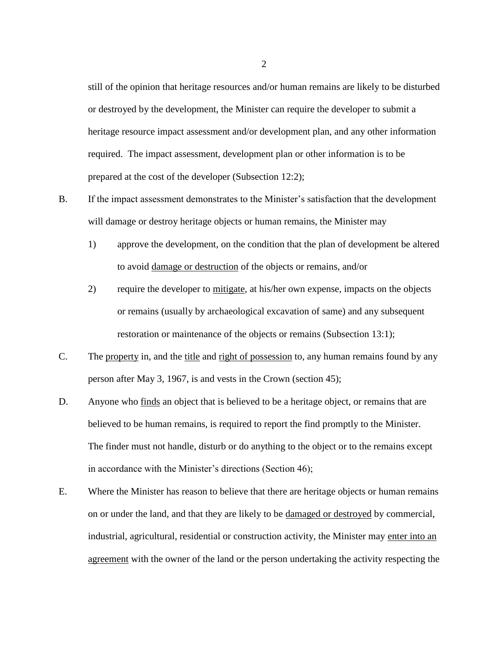still of the opinion that heritage resources and/or human remains are likely to be disturbed or destroyed by the development, the Minister can require the developer to submit a heritage resource impact assessment and/or development plan, and any other information required. The impact assessment, development plan or other information is to be prepared at the cost of the developer (Subsection 12:2);

- B. If the impact assessment demonstrates to the Minister's satisfaction that the development will damage or destroy heritage objects or human remains, the Minister may
	- 1) approve the development, on the condition that the plan of development be altered to avoid damage or destruction of the objects or remains, and/or
	- 2) require the developer to mitigate, at his/her own expense, impacts on the objects or remains (usually by archaeological excavation of same) and any subsequent restoration or maintenance of the objects or remains (Subsection 13:1);
- C. The property in, and the title and right of possession to, any human remains found by any person after May 3, 1967, is and vests in the Crown (section 45);
- D. Anyone who finds an object that is believed to be a heritage object, or remains that are believed to be human remains, is required to report the find promptly to the Minister. The finder must not handle, disturb or do anything to the object or to the remains except in accordance with the Minister's directions (Section 46);
- E. Where the Minister has reason to believe that there are heritage objects or human remains on or under the land, and that they are likely to be damaged or destroyed by commercial, industrial, agricultural, residential or construction activity, the Minister may enter into an agreement with the owner of the land or the person undertaking the activity respecting the

2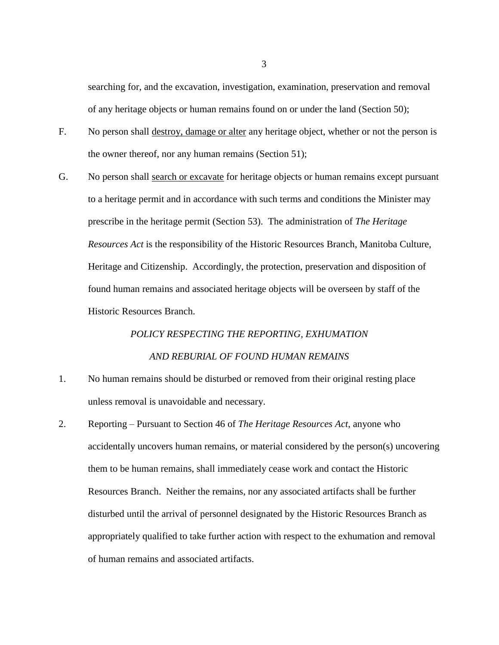searching for, and the excavation, investigation, examination, preservation and removal of any heritage objects or human remains found on or under the land (Section 50);

- F. No person shall destroy, damage or alter any heritage object, whether or not the person is the owner thereof, nor any human remains (Section 51);
- G. No person shall search or excavate for heritage objects or human remains except pursuant to a heritage permit and in accordance with such terms and conditions the Minister may prescribe in the heritage permit (Section 53). The administration of *The Heritage Resources Act* is the responsibility of the Historic Resources Branch, Manitoba Culture, Heritage and Citizenship. Accordingly, the protection, preservation and disposition of found human remains and associated heritage objects will be overseen by staff of the Historic Resources Branch.

# *POLICY RESPECTING THE REPORTING, EXHUMATION AND REBURIAL OF FOUND HUMAN REMAINS*

- 1. No human remains should be disturbed or removed from their original resting place unless removal is unavoidable and necessary.
- 2. Reporting Pursuant to Section 46 of *The Heritage Resources Act*, anyone who accidentally uncovers human remains, or material considered by the person(s) uncovering them to be human remains, shall immediately cease work and contact the Historic Resources Branch. Neither the remains, nor any associated artifacts shall be further disturbed until the arrival of personnel designated by the Historic Resources Branch as appropriately qualified to take further action with respect to the exhumation and removal of human remains and associated artifacts.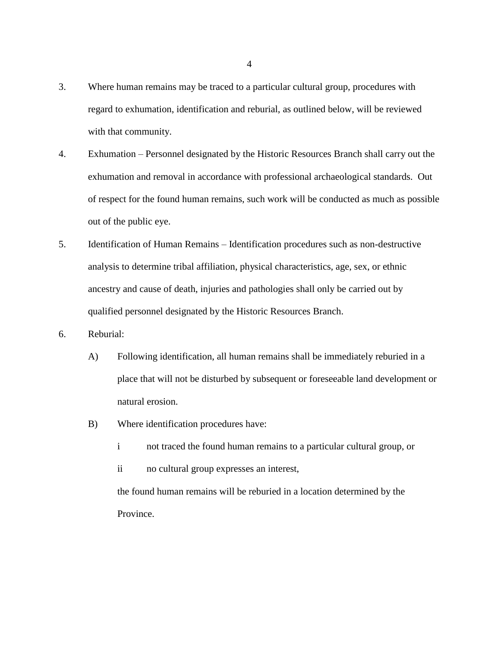- 3. Where human remains may be traced to a particular cultural group, procedures with regard to exhumation, identification and reburial, as outlined below, will be reviewed with that community.
- 4. Exhumation Personnel designated by the Historic Resources Branch shall carry out the exhumation and removal in accordance with professional archaeological standards. Out of respect for the found human remains, such work will be conducted as much as possible out of the public eye.
- 5. Identification of Human Remains Identification procedures such as non-destructive analysis to determine tribal affiliation, physical characteristics, age, sex, or ethnic ancestry and cause of death, injuries and pathologies shall only be carried out by qualified personnel designated by the Historic Resources Branch.
- 6. Reburial:
	- A) Following identification, all human remains shall be immediately reburied in a place that will not be disturbed by subsequent or foreseeable land development or natural erosion.
	- B) Where identification procedures have:
		- i not traced the found human remains to a particular cultural group, or
		- ii no cultural group expresses an interest,

the found human remains will be reburied in a location determined by the Province.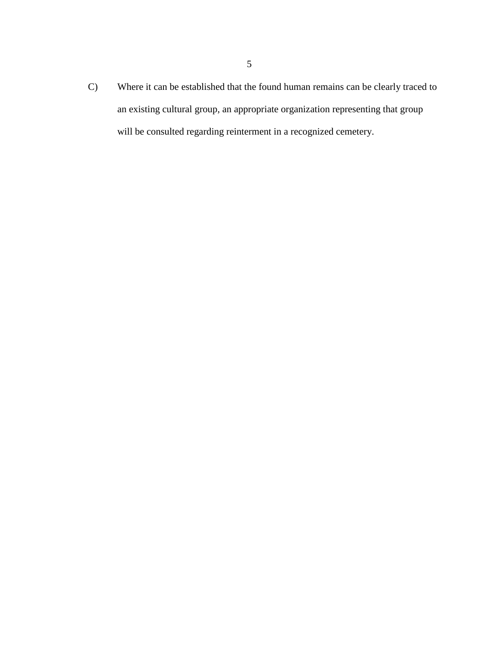C) Where it can be established that the found human remains can be clearly traced to an existing cultural group, an appropriate organization representing that group will be consulted regarding reinterment in a recognized cemetery.